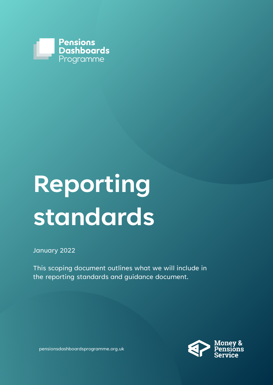

# **Reporting standards**

January 2022

This scoping document outlines what we will include in the reporting standards and guidance document.



pensionsdashboardsprogramme.org.uk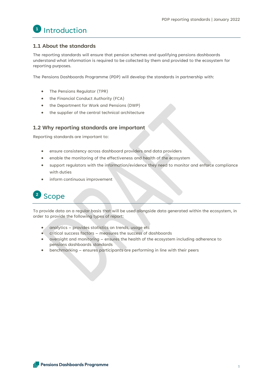

# **1.1 About the standards**

The reporting standards will ensure that pension schemes and qualifying pensions dashboards understand what information is required to be collected by them and provided to the ecosystem for reporting purposes.

The Pensions Dashboards Programme (PDP) will develop the standards in partnership with:

- The Pensions Regulator (TPR)
- the Financial Conduct Authority (FCA)
- the Department for Work and Pensions (DWP)
- the supplier of the central technical architecture

# **1.2 Why reporting standards are important**

Reporting standards are important to:

- ensure consistency across dashboard providers and data providers
- enable the monitoring of the effectiveness and health of the ecosystem
- support regulators with the information/evidence they need to monitor and enforce compliance with duties
- inform continuous improvement



To provide data on a regular basis that will be used alongside data generated within the ecosystem, in order to provide the following types of report:

- analytics provides statistics on trends, usage etc
- critical success factors measures the success of dashboards
- oversight and monitoring ensures the health of the ecosystem including adherence to pensions dashboards standards
- benchmarking ensures participants are performing in line with their peers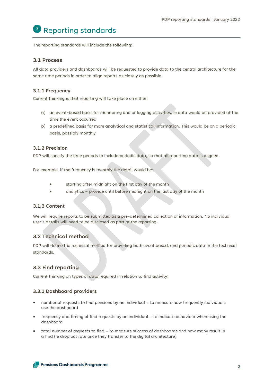# Reporting standards **3**

The reporting standards will include the following:

### **3.1 Process**

All data providers and dashboards will be requested to provide data to the central architecture for the same time periods in order to align reports as closely as possible.

#### **3.1.1 Frequency**

Current thinking is that reporting will take place on either:

- a) an event-based basis for monitoring and or logging activities, ie data would be provided at the time the event occurred
- b) a predefined basis for more analytical and statistical information. This would be on a periodic basis, possibly monthly

#### **3.1.2 Precision**

PDP will specify the time periods to include periodic data, so that all reporting data is aligned.

For example, if the frequency is monthly the detail would be:

- starting after midnight on the first day of the month
- analytics provide until before midnight on the last day of the month

#### **3.1.3 Content**

We will require reports to be submitted as a pre-determined collection of information. No individual user's details will need to be disclosed as part of the reporting.

# **3.2 Technical method**

PDP will define the technical method for providing both event based, and periodic data in the technical standards.

# **3.3 Find reporting**

Current thinking on types of data required in relation to find activity:

#### **3.3.1 Dashboard providers**

- number of requests to find pensions by an individual to measure how frequently individuals use the dashboard
- frequency and timing of find requests by an individual to indicate behaviour when using the dashboard
- total number of requests to find to measure success of dashboards and how many result in a find (ie drop out rate once they transfer to the digital architecture)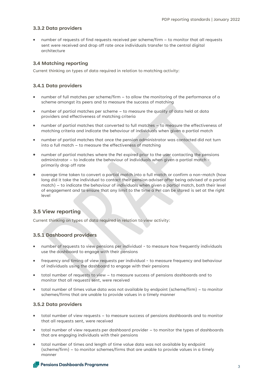#### **3.3.2 Data providers**

• number of requests of find requests received per scheme/firm – to monitor that all requests sent were received and drop off rate once individuals transfer to the central digital architecture

#### **3.4 Matching reporting**

Current thinking on types of data required in relation to matching activity:

#### **3.4.1 Data providers**

- number of full matches per scheme/firm to allow the monitoring of the performance of a scheme amongst its peers and to measure the success of matching
- number of partial matches per scheme to measure the quality of data held at data providers and effectiveness of matching criteria
- number of partial matches that converted to full matches to measure the effectiveness of matching criteria and indicate the behaviour of individuals when given a partial match
- number of partial matches that once the pension administrator was contacted did not turn into a full match – to measure the effectiveness of matching
- number of partial matches where the PeI expired prior to the user contacting the pensions administrator – to indicate the behaviour of individuals when given a partial match primarily drop off rate
- average time taken to convert a partial match into a full match or confirm a non-match (how long did it take the individual to contact their pension adviser after being advised of a partial match) – to indicate the behaviour of individuals when given a partial match, both their level of engagement and to ensure that any limit to the time a PeI can be stored is set at the right level

#### **3.5 View reporting**

Current thinking on types of data required in relation to view activity:

#### **3.5.1 Dashboard providers**

- number of requests to view pensions per individual to measure how frequently individuals use the dashboard to engage with their pensions
- frequency and timing of view requests per individual to measure frequency and behaviour of individuals using the dashboard to engage with their pensions
- total number of requests to view to measure success of pensions dashboards and to monitor that all requests sent, were received
- total number of times value data was not available by endpoint (scheme/firm) to monitor schemes/firms that are unable to provide values in a timely manner

#### **3.5.2 Data providers**

- total number of view requests to measure success of pensions dashboards and to monitor that all requests sent, were received
- total number of view requests per dashboard provider to monitor the types of dashboards that are engaging individuals with their pensions
- total number of times and length of time value data was not available by endpoint (scheme/firm) – to monitor schemes/firms that are unable to provide values in a timely manner

#### Pensions Dashboards Programme